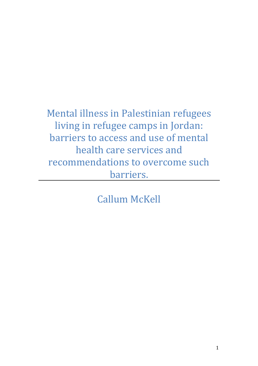Mental illness in Palestinian refugees living in refugee camps in Jordan: barriers to access and use of mental health care services and recommendations to overcome such barriers.

Callum McKell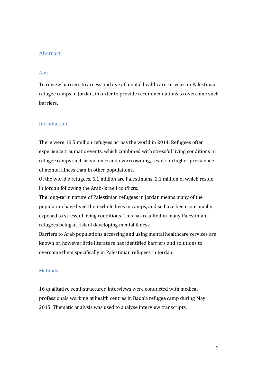## **Abstract**

### Aim

To review barriers to access and use of mental healthcare services in Palestinian refugee camps in Jordan, in order to provide recommendations to overcome such barriers.

### Introduction

There were 19.5 million refugees across the world in 2014. Refugees often experience traumatic events, which combined with stressful living conditions in refugee camps such as violence and overcrowding, results in higher prevalence of mental illness than in other populations.

Of the world's refugees, 5.1 million are Palestinians, 2.1 million of which reside in Jordan following the Arab-Israeli conflicts.

The long-term nature of Palestinian refugees in Jordan means many of the population have lived their whole lives in camps, and so have been continually exposed to stressful living conditions. This has resulted in many Palestinian refugees being at risk of developing mental illness.

Barriers to Arab populations accessing and using mental healthcare services are known of, however little literature has identified barriers and solutions to overcome them specifically in Palestinian refugees in Jordan.

### **Methods**

16 qualitative semi-structured interviews were conducted with medical professionals working at health centres in Baqa'a refugee camp during May 2015. Thematic analysis was used to analyse interview transcripts.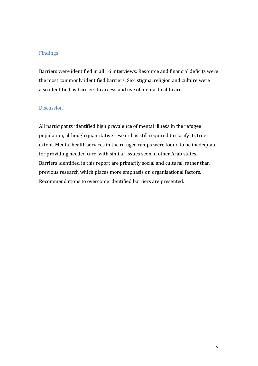### Findings

Barriers were identified in all 16 interviews. Resource and financial deficits were the most commonly identified barriers. Sex, stigma, religion and culture were also identified as barriers to access and use of mental healthcare.

### Discussion

All participants identified high prevalence of mental illness in the refugee population, although quantitative research is still required to clarify its true extent. Mental health services in the refugee camps were found to be inadequate for providing needed care, with similar issues seen in other Arab states. Barriers identified in this report are primarily social and cultural, rather than previous research which places more emphasis on organisational factors. Recommendations to overcome identified barriers are presented.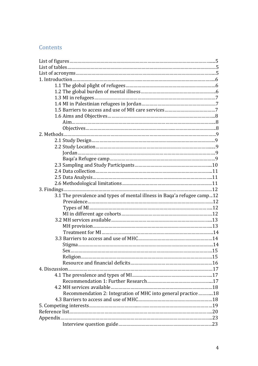# **Contents**

| 3.1 The prevalence and types of mental illness in Baqa'a refugee camp12 |  |
|-------------------------------------------------------------------------|--|
|                                                                         |  |
|                                                                         |  |
|                                                                         |  |
|                                                                         |  |
|                                                                         |  |
|                                                                         |  |
|                                                                         |  |
|                                                                         |  |
|                                                                         |  |
|                                                                         |  |
|                                                                         |  |
|                                                                         |  |
|                                                                         |  |
|                                                                         |  |
|                                                                         |  |
| Recommendation 2: Integration of MHC into general practice18            |  |
|                                                                         |  |
|                                                                         |  |
|                                                                         |  |
|                                                                         |  |
|                                                                         |  |
|                                                                         |  |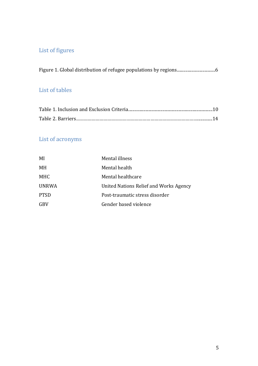# List of figures

# List of tables

# List of acronyms

| MI           | Mental illness                         |
|--------------|----------------------------------------|
| MH           | Mental health                          |
| <b>MHC</b>   | Mental healthcare                      |
| <b>UNRWA</b> | United Nations Relief and Works Agency |
| <b>PTSD</b>  | Post-traumatic stress disorder         |
| <b>GBV</b>   | Gender based violence                  |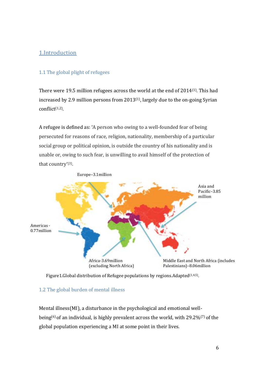## 1.Introduction

## 1.1 The global plight of refugees

There were 19.5 million refugees across the world at the end of 2014(1) . This had increased by 2.9 million persons from 2013(1), largely due to the on-going Syrian conflict(1,2) .

A refugee is defined as: 'A person who owing to a well-founded fear of being persecuted for reasons of race, religion, nationality, membership of a particular social group or political opinion, is outside the country of his nationality and is unable or, owing to such fear, is unwilling to avail himself of the protection of that country'<sup>(3)</sup>.



Figure1. Global distribution of Refugee populations by regions. Adapted<sup>(1,4,5)</sup>.

## 1.2 The global burden of mental illness

Mental illness(MI), a disturbance in the psychological and emotional wellbeing<sup>(6)</sup> of an individual, is highly prevalent across the world, with 29.2%<sup>(7)</sup> of the global population experiencing a MI at some point in their lives.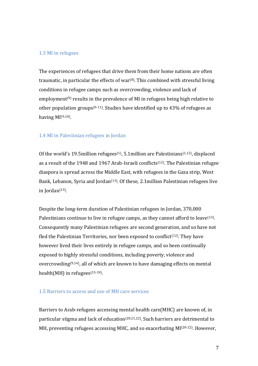### 1.3 MI in refugees

The experiences of refugees that drive them from their home nations are often traumatic, in particular the effects of war $^{(8)}$ . This combined with stressful living conditions in refugee camps such as overcrowding, violence and lack of employment<sup>(9)</sup> results in the prevalence of MI in refugees being high relative to other population groups<sup>(9-11)</sup>. Studies have identified up to 43% of refugees as having MI<sup>(9,10)</sup>.

### 1.4 MI in Palestinian refugees in Jordan

Of the world's 19.5 million refugees<sup>(1)</sup>, 5.1 million are Palestinians<sup>(1,12)</sup>, displaced as a result of the 1948 and 1967 Arab-Israeli conflicts<sup>(12)</sup>. The Palestinian refugee diaspora is spread across the Middle East, with refugees in the Gaza strip, West Bank, Lebanon, Syria and Jordan<sup>(13)</sup>. Of these, 2.1 million Palestinian refugees live in Jordan(13) .

Despite the long-term duration of Palestinian refugees in Jordan, 370,000 Palestinians continue to live in refugee camps, as they cannot afford to leave $(13)$ . Consequently many Palestinian refugees are second generation, and so have not fled the Palestinian Territories, nor been exposed to conflict<sup> $(12)$ </sup>. They have however lived their lives entirely in refugee camps, and so been continually exposed to highly stressful conditions, including poverty, violence and overcrowding<sup>(9,14)</sup>, all of which are known to have damaging effects on mental health(MH) in refugees<sup>(15-19)</sup>.

### 1.5 Barriers to access and use of MH care services

Barriers to Arab-refugees accessing mental health care(MHC) are known of, in particular stigma and lack of education<sup>(20,21,22)</sup>. Such barriers are detrimental to MH, preventing refugees accessing MHC, and so exacerbating MI<sup>(20-22)</sup>. However,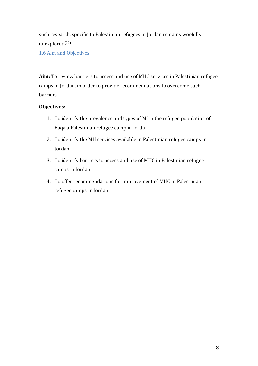such research, specific to Palestinian refugees in Jordan remains woefully unexplored<sup>(22)</sup>.

1.6 Aim and Objectives

**Aim:** To review barriers to access and use of MHC services in Palestinian refugee camps in Jordan, in order to provide recommendations to overcome such barriers.

## **Objectives:**

- 1. To identify the prevalence and types of MI in the refugee population of Baqa'a Palestinian refugee camp in Jordan
- 2. To identify the MH services available in Palestinian refugee camps in Jordan
- 3. To identify barriers to access and use of MHC in Palestinian refugee camps in Jordan
- 4. To offer recommendations for improvement of MHC in Palestinian refugee camps in Jordan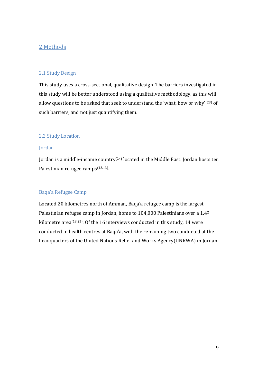## 2.Methods

### 2.1 Study Design

This study uses a cross-sectional, qualitative design. The barriers investigated in this study will be better understood using a qualitative methodology, as this will allow questions to be asked that seek to understand the 'what, how or why'(23) of such barriers, and not just quantifying them.

### 2.2 Study Location

### Jordan

Jordan is a middle-income country(24) located in the Middle East. Jordan hosts ten Palestinian refugee camps<sup>(12,13)</sup>.

## Baqa'a Refugee Camp

Located 20 kilometres north of Amman, Baqa'a refugee camp is the largest Palestinian refugee camp in Jordan, home to 104,000 Palestinians over a 1.4<sup>2</sup> kilometre area<sup>(13,25)</sup>. Of the 16 interviews conducted in this study, 14 were conducted in health centres at Baqa'a, with the remaining two conducted at the headquarters of the United Nations Relief and Works Agency(UNRWA) in Jordan.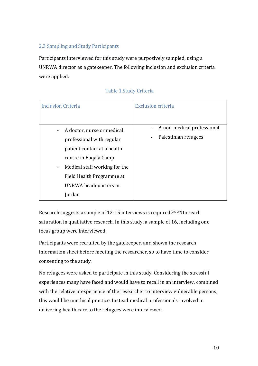## 2.3 Sampling and Study Participants

Participants interviewed for this study were purposively sampled, using a UNRWA director as a gatekeeper. The following inclusion and exclusion criteria were applied:

| <b>Inclusion Criteria</b>                                                                                                                                                                                                                                          | <b>Exclusion criteria</b>                                                 |
|--------------------------------------------------------------------------------------------------------------------------------------------------------------------------------------------------------------------------------------------------------------------|---------------------------------------------------------------------------|
|                                                                                                                                                                                                                                                                    |                                                                           |
| A doctor, nurse or medical<br>$\qquad \qquad \blacksquare$<br>professional with regular<br>patient contact at a health<br>centre in Baqa'a Camp<br>Medical staff working for the<br>$\blacksquare$<br>Field Health Programme at<br>UNRWA headquarters in<br>Jordan | A non-medical professional<br>$\blacksquare$<br>Palestinian refugees<br>۰ |

## Table 1.Study Criteria

Research suggests a sample of 12-15 interviews is required(26-29) to reach saturation in qualitative research. In this study, a sample of 16, including one focus group were interviewed.

Participants were recruited by the gatekeeper, and shown the research information sheet before meeting the researcher, so to have time to consider consenting to the study.

No refugees were asked to participate in this study. Considering the stressful experiences many have faced and would have to recall in an interview, combined with the relative inexperience of the researcher to interview vulnerable persons, this would be unethical practice. Instead medical professionals involved in delivering health care to the refugees were interviewed.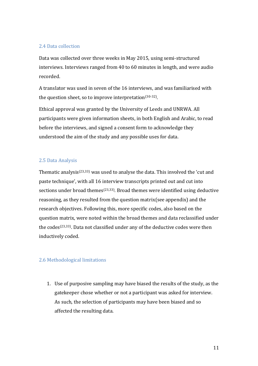### 2.4 Data collection

Data was collected over three weeks in May 2015, using semi-structured interviews. Interviews ranged from 40 to 60 minutes in length, and were audio recorded.

A translator was used in seven of the 16 interviews, and was familiarised with the question sheet, so to improve interpretation<sup>(30-32)</sup>.

Ethical approval was granted by the University of Leeds and UNRWA. All participants were given information sheets, in both English and Arabic, to read before the interviews, and signed a consent form to acknowledge they understood the aim of the study and any possible uses for data.

## 2.5 Data Analysis

Thematic analysis(23,33) was used to analyse the data. This involved the 'cut and paste technique', with all 16 interview transcripts printed out and cut into sections under broad themes<sup>(23,33)</sup>. Broad themes were identified using deductive reasoning, as they resulted from the question matrix(see appendix) and the research objectives. Following this, more specific codes, also based on the question matrix, were noted within the broad themes and data reclassified under the codes<sup>(23,33)</sup>. Data not classified under any of the deductive codes were then inductively coded.

### 2.6 Methodological limitations

1. Use of purposive sampling may have biased the results of the study, as the gatekeeper chose whether or not a participant was asked for interview. As such, the selection of participants may have been biased and so affected the resulting data.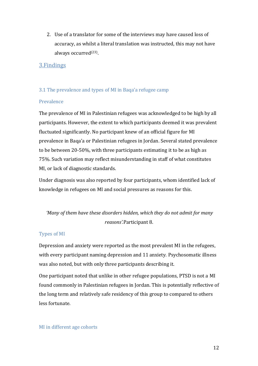2. Use of a translator for some of the interviews may have caused loss of accuracy, as whilst a literal translation was instructed, this may not have always occurred<sup>(23)</sup>.

## 3.Findings

## 3.1 The prevalence and types of MI in Baqa'a refugee camp

### Prevalence

The prevalence of MI in Palestinian refugees was acknowledged to be high by all participants. However, the extent to which participants deemed it was prevalent fluctuated significantly. No participant knew of an official figure for MI prevalence in Baqa'a or Palestinian refugees in Jordan. Several stated prevalence to be between 20-50%, with three participants estimating it to be as high as 75%. Such variation may reflect misunderstanding in staff of what constitutes MI, or lack of diagnostic standards.

Under diagnosis was also reported by four participants, whom identified lack of knowledge in refugees on MI and social pressures as reasons for this.

## *'Many of them have these disorders hidden, which they do not admit for many reasons'.*Participant 8.

### Types of MI

Depression and anxiety were reported as the most prevalent MI in the refugees, with every participant naming depression and 11 anxiety. Psychosomatic illness was also noted, but with only three participants describing it.

One participant noted that unlike in other refugee populations, PTSD is not a MI found commonly in Palestinian refugees in Jordan. This is potentially reflective of the long term and relatively safe residency of this group to compared to others less fortunate.

### MI in different age cohorts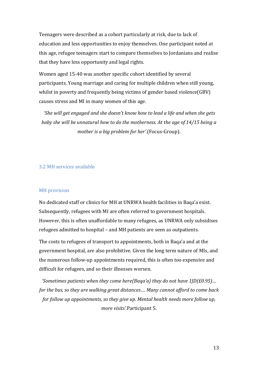Teenagers were described as a cohort particularly at risk, due to lack of education and less opportunities to enjoy themselves. One participant noted at this age, refugee teenagers start to compare themselves to Jordanians and realise that they have less opportunity and legal rights.

Women aged 15-40 was another specific cohort identified by several participants. Young marriage and caring for multiple children when still young, whilst in poverty and frequently being victims of gender based violence(GBV) causes stress and MI in many women of this age.

*'She will get engaged and she doesn't know how to lead a life and when she gets baby she will be unnatural how to do the motherness. At the age of 14/15 being a mother is a big problem for her'.*(Focus-Group).

#### 3.2 MH services available

#### MH provision

No dedicated staff or clinics for MH at UNRWA health facilities in Baqa'a exist. Subsequently, refugees with MI are often referred to government hospitals. However, this is often unaffordable to many refugees, as UNRWA only subsidises refugees admitted to hospital – and MH patients are seen as outpatients.

The costs to refugees of transport to appointments, both in Baqa'a and at the government hospital, are also prohibitive. Given the long term nature of MIs, and the numerous follow-up appointments required, this is often too expensive and difficult for refugees, and so their illnesses worsen.

*'Sometimes patients when they come here(Baqa'a) they do not have 1JD(£0.95)… for the bus, so they are walking great distances…. Many cannot afford to come back for follow up appointments, so they give up. Mental health needs more follow up, more visits'.*Participant 5.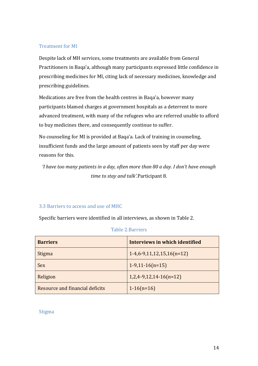## Treatment for MI

Despite lack of MH services, some treatments are available from General Practitioners in Baqa'a, although many participants expressed little confidence in prescribing medicines for MI, citing lack of necessary medicines, knowledge and prescribing guidelines.

Medications are free from the health centres in Baqa'a, however many participants blamed charges at government hospitals as a deterrent to more advanced treatment, with many of the refugees who are referred unable to afford to buy medicines there, and consequently continue to suffer.

No counseling for MI is provided at Baqa'a. Lack of training in counseling, insufficient funds and the large amount of patients seen by staff per day were reasons for this.

*'I have too many patients in a day, often more than 80 a day. I don't have enough time to stay and talk'.*Participant 8.

### 3.3 Barriers to access and use of MHC

Specific barriers were identified in all interviews, as shown in Table 2.

| <b>Barriers</b>                 | Interviews in which identified |
|---------------------------------|--------------------------------|
| <b>Stigma</b>                   | $1-4,6-9,11,12,15,16(n=12)$    |
| <b>Sex</b>                      | $1-9,11-16(n=15)$              |
| Religion                        | $1,2,4-9,12,14-16(n=12)$       |
| Resource and financial deficits | $1-16(n=16)$                   |

## Table 2.Barriers

Stigma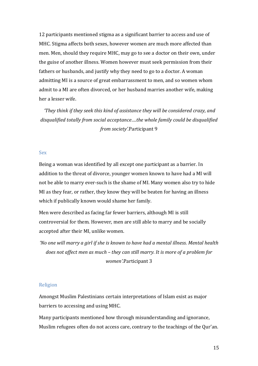12 participants mentioned stigma as a significant barrier to access and use of MHC. Stigma affects both sexes, however women are much more affected than men. Men, should they require MHC, may go to see a doctor on their own, under the guise of another illness. Women however must seek permission from their fathers or husbands, and justify why they need to go to a doctor. A woman admitting MI is a source of great embarrassment to men, and so women whom admit to a MI are often divorced, or her husband marries another wife, making her a lesser wife.

*'They think if they seek this kind of assistance they will be considered crazy, and disqualified totally from social acceptance….the whole family could be disqualified from society'.*Participant 9

#### Sex

Being a woman was identified by all except one participant as a barrier. In addition to the threat of divorce, younger women known to have had a MI will not be able to marry ever-such is the shame of MI. Many women also try to hide MI as they fear, or rather, they know they will be beaten for having an illness which if publically known would shame her family.

Men were described as facing far fewer barriers, although MI is still controversial for them. However, men are still able to marry and be socially accepted after their MI, unlike women.

*'No one will marry a girl if she is known to have had a mental illness. Mental health does not affect men as much – they can still marry. It is more of a problem for women'*.Participant 3

#### Religion

Amongst Muslim Palestinians certain interpretations of Islam exist as major barriers to accessing and using MHC.

Many participants mentioned how through misunderstanding and ignorance, Muslim refugees often do not access care, contrary to the teachings of the Qur'an.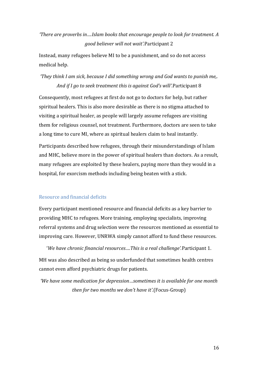## *'There are proverbs in….Islam books that encourage people to look for treatment. A good believer will not wait'.*Participant 2

Instead, many refugees believe MI to be a punishment, and so do not access medical help.

*'They think I am sick, because I did something wrong and God wants to punish me,. And if I go to seek treatment this is against God's will'.*Participant 8

Consequently, most refugees at first do not go to doctors for help, but rather spiritual healers. This is also more desirable as there is no stigma attached to visiting a spiritual healer, as people will largely assume refugees are visiting them for religious counsel, not treatment. Furthermore, doctors are seen to take a long time to cure MI, where as spiritual healers claim to heal instantly.

Participants described how refugees, through their misunderstandings of Islam and MHC, believe more in the power of spiritual healers than doctors. As a result, many refugees are exploited by these healers, paying more than they would in a hospital, for exorcism methods including being beaten with a stick.

### Resource and financial deficits

Every participant mentioned resource and financial deficits as a key barrier to providing MHC to refugees. More training, employing specialists, improving referral systems and drug selection were the resources mentioned as essential to improving care. However, UNRWA simply cannot afford to fund these resources.

'*We have chronic financial resources….This is a real challenge'.*Participant 1.

MH was also described as being so underfunded that sometimes health centres cannot even afford psychiatric drugs for patients.

*'We have some medication for depression…sometimes it is available for one month then for two months we don't have it'.*(Focus-Group)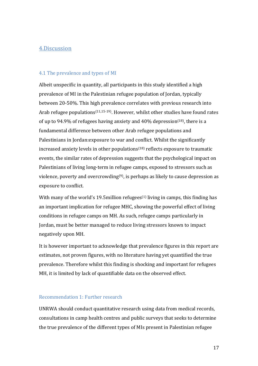## 4.Discussion

### 4.1 The prevalence and types of MI

Albeit unspecific in quantity, all participants in this study identified a high prevalence of MI in the Palestinian refugee population of Jordan, typically between 20-50%. This high prevalence correlates with previous research into Arab refugee populations<sup>(11,15-19)</sup>. However, whilst other studies have found rates of up to 94.9% of refugees having anxiety and 40% depression<sup>(18)</sup>, there is a fundamental difference between other Arab refugee populations and Palestinians in Jordan:exposure to war and conflict. Whilst the significantly increased anxiety levels in other populations(18) reflects exposure to traumatic events, the similar rates of depression suggests that the psychological impact on Palestinians of living long-term in refugee camps, exposed to stressors such as violence, poverty and overcrowding $(9)$ , is perhaps as likely to cause depression as exposure to conflict.

With many of the world's 19.5 million refugees<sup>(1)</sup> living in camps, this finding has an important implication for refugee MHC, showing the powerful effect of living conditions in refugee camps on MH. As such, refugee camps particularly in Jordan, must be better managed to reduce living stressors known to impact negatively upon MH.

It is however important to acknowledge that prevalence figures in this report are estimates, not proven figures, with no literature having yet quantified the true prevalence. Therefore whilst this finding is shocking and important for refugees MH, it is limited by lack of quantifiable data on the observed effect.

### Recommendation 1: Further research

UNRWA should conduct quantitative research using data from medical records, consultations in camp health centres and public surveys that seeks to determine the true prevalence of the different types of MIs present in Palestinian refugee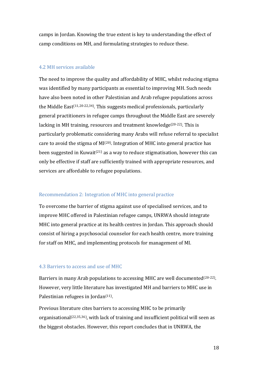camps in Jordan. Knowing the true extent is key to understanding the effect of camp conditions on MH, and formulating strategies to reduce these.

### 4.2 MH services available

The need to improve the quality and affordability of MHC, whilst reducing stigma was identified by many participants as essential to improving MH. Such needs have also been noted in other Palestinian and Arab refugee populations across the Middle East<sup>(11,20-22,34)</sup>. This suggests medical professionals, particularly general practitioners in refugee camps throughout the Middle East are severely lacking in MH training, resources and treatment knowledge<sup>(20-22)</sup>. This is particularly problematic considering many Arabs will refuse referral to specialist care to avoid the stigma of  $MI<sup>(20)</sup>$ . Integration of MHC into general practice has been suggested in Kuwait<sup>(21)</sup> as a way to reduce stigmatisation, however this can only be effective if staff are sufficiently trained with appropriate resources, and services are affordable to refugee populations.

### Recommendation 2: Integration of MHC into general practice

To overcome the barrier of stigma against use of specialised services, and to improve MHC offered in Palestinian refugee camps, UNRWA should integrate MHC into general practice at its health centres in Jordan. This approach should consist of hiring a psychosocial counselor for each health centre, more training for staff on MHC, and implementing protocols for management of MI.

### 4.3 Barriers to access and use of MHC

Barriers in many Arab populations to accessing MHC are well documented<sup>(20-22)</sup>. However, very little literature has investigated MH and barriers to MHC use in Palestinian refugees in Jordan<sup>(11)</sup>.

Previous literature cites barriers to accessing MHC to be primarily organisational<sup>(22,35,36)</sup>, with lack of training and insufficient political will seen as the biggest obstacles. However, this report concludes that in UNRWA, the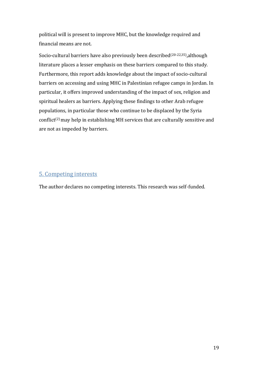political will is present to improve MHC, but the knowledge required and financial means are not.

Socio-cultural barriers have also previously been described<sup>(20-22,35)</sup>, although literature places a lesser emphasis on these barriers compared to this study. Furthermore, this report adds knowledge about the impact of socio-cultural barriers on accessing and using MHC in Palestinian refugee camps in Jordan. In particular, it offers improved understanding of the impact of sex, religion and spiritual healers as barriers. Applying these findings to other Arab refugee populations, in particular those who continue to be displaced by the Syria conflict<sup>(2)</sup> may help in establishing MH services that are culturally sensitive and are not as impeded by barriers.

## 5. Competing interests

The author declares no competing interests. This research was self-funded.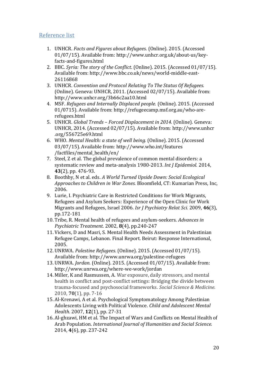## Reference list

- 1. UNHCR. *Facts and Figures about Refugees*. (Online). 2015. (Accessed 01/07/15). Available from: http://www.unhcr.org.uk/about-us/keyfacts-and-figures.html
- 2. BBC. *Syria: The story of the Conflict*. (Online). 2015. (Accessed 01/07/15). Available from: http://www.bbc.co.uk/news/world-middle-east-26116868
- 3. UNHCR. *Convention and Protocol Relating To The Status Of Refugees.* (Online). Geneva: UNHCR, 2011. (Accessed 02/07/15). Available from: http://www.unhcr.org/3b66c2aa10.html
- 4. MSF. *Refugees and Internally Displaced people.* (Online). 2015. (Accessed 01/0715). Available from: http://refugeecamp.msf.org.au/who-arerefugees.html
- 5. UNHCR. *Global Trends – Forced Displacement in 2014.* (Online). Geneva: UNHCR, 2014. (Accessed 02/07/15). Available from: http://www.unhcr .org/556725e69.html
- 6. WHO. *Mental Health: a state of well being.* (Online). 2015. (Accessed 03/07/15). Available from: http://www.who.int/features /factfiles/mental\_health/en/
- 7. Steel, Z et al. The global prevalence of common mental disorders: a systematic review and meta-analysis 1980-2013. *Int J Epidemiol.* 2014, **43**(2), pp. 476-93.
- 8. Boothby, N et al. eds. *A World Turned Upside Down: Social Ecological Approaches to Children in War Zones.* Bloomfield, CT: Kumarian Press, Inc, 2006.
- 9. Lurie, I. Psychiatric Care in Restricted Conditions for Work Migrants, Refugees and Asylum Seekers: Experience of the Open Clinic for Work Migrants and Refugees, Israel 2006. *Isr J Psychiatry Relat Sci.* 2009, **46**(3), pp.172-181
- 10. Tribe, R. Mental health of refugees and asylum-seekers. *Advances in Psychiatric Treatment.* 2002, **8**(4), pp.240-247
- 11. Vickers, D and Masri, S. Mental Health Needs Assessment in Palestinian Refugee Camps, Lebanon. Final Report. Beirut: Response International, 2005.
- 12. UNRWA. *Palestine Refugees*. (Online). 2015. (Accessed 01/07/15). Available from: http://www.unrwa.org/palestine-refugees
- 13. UNRWA. *Jordan.* (Online). 2015. (Accessed 01/07/15). Available from: http://www.unrwa.org/where-we-work/jordan
- 14. Miller, K and Rasmussen, A. War exposure, daily stressors, and mental health in conflict and post-conflict settings: Bridging the divide between trauma-focused and psychosocial frameworks. *Social Science & Medicine.* 2010, **70**(1), pp. 7-16
- 15. Al-Krenawi, A et al. Psychological Symptomatology Among Palestinian Adolescents Living with Political Violence. *Child and Adolescent Mental Health*. 2007, **12**(1), pp. 27-31
- 16. Al-ghzawi, HM et al. The Impact of Wars and Conflicts on Mental Health of Arab Population. *International Journal of Humanities and Social Science.* 2014, **4**(6), pp. 237-242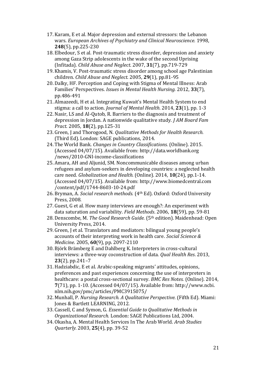- 17. Karam, E et al. Major depression and external stressors: the Lebanon wars. *European Archives of Psychiatry and Clinical Neuroscience.* 1998, **248**(5), pp.225-230
- 18. Elbedour, S et al. Post-traumatic stress disorder, depression and anxiety among Gaza Strip adolescents in the wake of the second Uprising (Infitada). *Child Abuse and Neglect*. 2007, **31**(7), pp.719-729
- 19. Khamis, V. Post-traumatic stress disorder among school age Palestinian children. *Child Abuse and Neglect.* 2005, **29**(1), pp.81-95
- 20. Dalky, HF. Perception and Coping with Stigma of Mental Illness: Arab Families' Perspectives. *Issues in Mental Health Nursing.* 2012, **33**(7), pp.486-491
- 21. Almazeedi, H et al. Integrating Kuwait's Mental Health System to end stigma: a call to action. *Journal of Mental Health*. 2014, **23**(1), pp. 1-3
- 22.Nasir, LS and Al-Qutob, R. Barriers to the diagnosis and treatment of depression in Jordan. A nationwide qualitative study. *J AM Board Fam Pract.* 2005, **18**(2), pp.125-31
- 23. Green, J and Thorogood, N. *Qualitative Methods for Health Research.* (Third Ed). London: SAGE publications, 2014.
- 24. The World Bank. *Changes in Country Classifications.* (Online). 2015. (Accessed 04/07/15). Available from: http://data.worldbank.org /news/2010-GNI-income-classifications
- 25. Amara, AH and Aljunid, SM. Noncommunicable diseases among urban refugees and asylum-seekers in developing countries: a neglected health care need. *Globalization and Health.* (Online). 2014, **10**(24), pp.1-14. (Accessed 04/07/15). Available from: http://www.biomedcentral.com /content/pdf/1744-8603-10-24.pdf
- 26. Bryman, A. *Social research methods.* (4th Ed). Oxford: Oxford University Press, 2008.
- 27. Guest, G et al. How many interviews are enough?: An experiment with data saturation and variability. *Field Methods*. 2006, **18**(59), pp. 59-81
- 28. Denscombe, M. *The Good Research Guide.* (5th edition). Maidenhead: Open University Press, 2014.
- 29. Green, J et al. Translators and mediators: bilingual young people's accounts of their interpreting work in health care. *Social Science & Medicine*. 2005, **60**(9), pp. 2097-2110
- 30. Björk Brämberg E and Dahlberg K. Interpreters in cross-cultural interviews: a three-way coconstruction of data. *Qual Health Res*. 2013, **23**(2), pp.241–7
- 31.Hadziabdic, E et al. Arabic-speaking migrants' attitudes, opinions, preferences and past experiences concerning the use of interpreters in healthcare: a postal cross-sectional survey. *BMC Res Notes.* (Online). 2014, **7**(71), pp. 1-10. (Accessed 04/07/15). Available from: http://www.ncbi. nlm.nih.gov/pmc/articles/PMC3915075/
- 32. Munhall, P. *Nursing Research. A Qualitative Perspective.* (Fifth Ed). Miami: Jones & Bartlett LEARNING, 2012.
- 33. Cassell, C and Symon, G. *Essential Guide to Qualitative Methods in Organizational Research.* London: SAGE Publications Ltd, 2004.
- 34. Okasha, A. Mental Health Services In The Arab World. *Arab Studies Quarterly.* 2003, **25**(4), pp. 39-52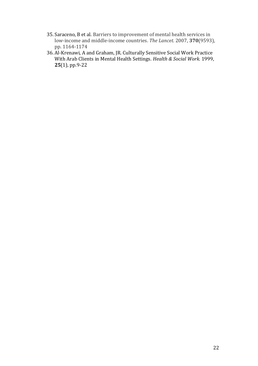- 35.Saraceno, B et al. Barriers to improvement of mental health services in low-income and middle-income countries. *The Lancet.* 2007, **370**(9593), pp. 1164-1174
- 36. Al-Krenawi, A and Graham, JR. Culturally Sensitive Social Work Practice With Arab Clients in Mental Health Settings. *Health & Social Work.* 1999, **25**(1), pp.9-22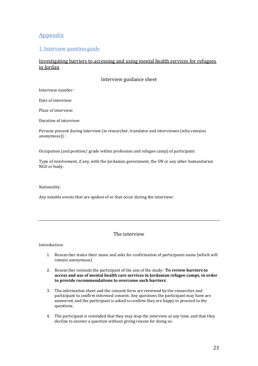## Appendix

### 1. Interview question guide

### Investigating barriers to accessing and using mental health services for refugees in Jordan

### Interview guidance sheet

Interview number:

Date of interview:

Place of interview:

Duration of interview:

Persons present during interview (ie researcher, translator and interviewee (who remains anonymous)) :

Occupation (and position/ grade within profession and refugee camp) of participant:

Type of involvement, if any, with the Jordanian government, the UN or any other humanitarian NGO or body:

Nationality:

Any notable events that are spoken of or that occur during the interview:

### The interview

Introduction:

- 1. Researcher states their name and asks for confirmation of participants name (which will remain anonymous)
- 2. Researcher reminds the participant of the aim of the study: **'To review barriers to access and use of mental health care services in Jordanian refugee camps, in order to provide recommendations to overcome such barriers'.**
- 3. The information sheet and the consent form are reviewed by the researcher and participant to confirm informed consent. Any questions the participant may have are answered, and the participant is asked to confirm they are happy to proceed to the questions.
- 4. The participant is reminded that they may stop the interview at any time, and that they decline to answer a question without giving reason for doing so.